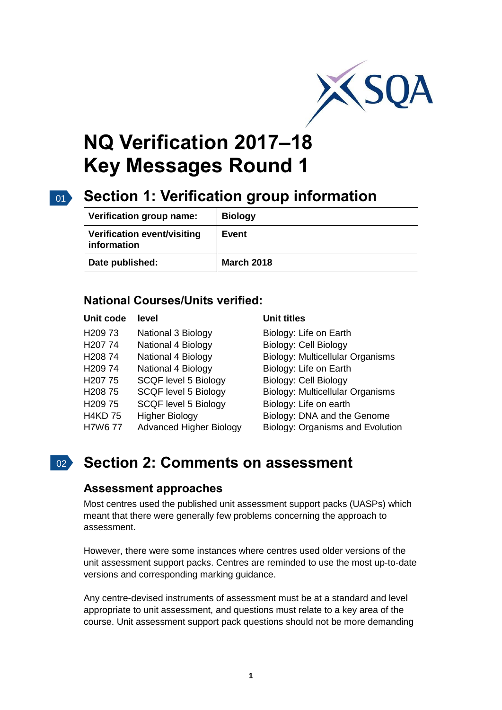

# **NQ Verification 2017–18 Key Messages Round 1**

## 01 **Section 1: Verification group information**

| Verification group name:                   | <b>Biology</b>    |
|--------------------------------------------|-------------------|
| Verification event/visiting<br>information | Event             |
| Date published:                            | <b>March 2018</b> |

### **National Courses/Units verified:**

| Unit code | level |
|-----------|-------|
|           |       |

| H <sub>209</sub> 73 | National 3 Biology             |
|---------------------|--------------------------------|
| H207 74             | National 4 Biology             |
| H20874              | National 4 Biology             |
| H20974              | National 4 Biology             |
| H <sub>20</sub> 775 | <b>SCQF level 5 Biology</b>    |
| H20875              | <b>SCQF level 5 Biology</b>    |
| H <sub>209</sub> 75 | <b>SCQF level 5 Biology</b>    |
| <b>H4KD 75</b>      | <b>Higher Biology</b>          |
| <b>H7W677</b>       | <b>Advanced Higher Biology</b> |

#### **Unit titles**

Biology: Life on Earth Biology: Cell Biology Biology: Multicellular Organisms Biology: Life on Earth Biology: Cell Biology Biology: Multicellular Organisms Biology: Life on earth Biology: DNA and the Genome Biology: Organisms and Evolution

## 02 **Section 2: Comments on assessment**

#### **Assessment approaches**

Most centres used the published unit assessment support packs (UASPs) which meant that there were generally few problems concerning the approach to assessment.

However, there were some instances where centres used older versions of the unit assessment support packs. Centres are reminded to use the most up-to-date versions and corresponding marking guidance.

Any centre-devised instruments of assessment must be at a standard and level appropriate to unit assessment, and questions must relate to a key area of the course. Unit assessment support pack questions should not be more demanding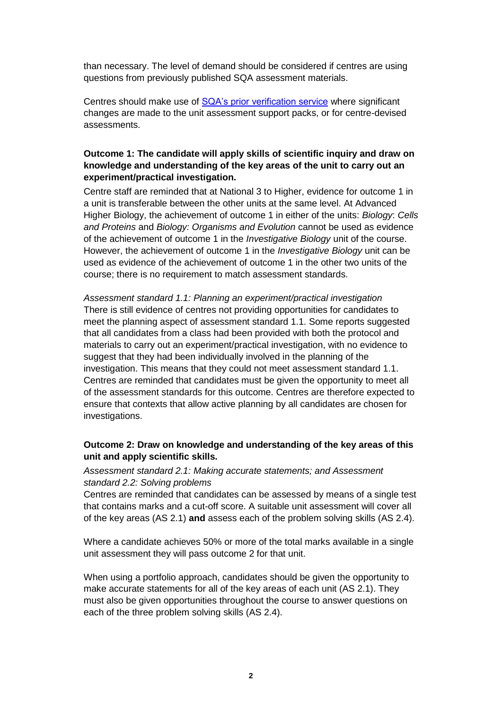than necessary. The level of demand should be considered if centres are using questions from previously published SQA assessment materials.

Centres should make use of [SQA's prior verification service](https://www.sqa.org.uk/sqa/74666.6219.html) where significant changes are made to the unit assessment support packs, or for centre-devised assessments.

#### **Outcome 1: The candidate will apply skills of scientific inquiry and draw on knowledge and understanding of the key areas of the unit to carry out an experiment/practical investigation.**

Centre staff are reminded that at National 3 to Higher, evidence for outcome 1 in a unit is transferable between the other units at the same level. At Advanced Higher Biology, the achievement of outcome 1 in either of the units: *Biology*: *Cells and Proteins* and *Biology: Organisms and Evolution* cannot be used as evidence of the achievement of outcome 1 in the *Investigative Biology* unit of the course. However, the achievement of outcome 1 in the *Investigative Biology* unit can be used as evidence of the achievement of outcome 1 in the other two units of the course; there is no requirement to match assessment standards.

*Assessment standard 1.1: Planning an experiment/practical investigation* There is still evidence of centres not providing opportunities for candidates to meet the planning aspect of assessment standard 1.1. Some reports suggested that all candidates from a class had been provided with both the protocol and materials to carry out an experiment/practical investigation, with no evidence to suggest that they had been individually involved in the planning of the investigation. This means that they could not meet assessment standard 1.1. Centres are reminded that candidates must be given the opportunity to meet all of the assessment standards for this outcome. Centres are therefore expected to ensure that contexts that allow active planning by all candidates are chosen for investigations.

#### **Outcome 2: Draw on knowledge and understanding of the key areas of this unit and apply scientific skills.**

*Assessment standard 2.1: Making accurate statements; and Assessment standard 2.2: Solving problems* 

Centres are reminded that candidates can be assessed by means of a single test that contains marks and a cut-off score. A suitable unit assessment will cover all of the key areas (AS 2.1) **and** assess each of the problem solving skills (AS 2.4).

Where a candidate achieves 50% or more of the total marks available in a single unit assessment they will pass outcome 2 for that unit.

When using a portfolio approach, candidates should be given the opportunity to make accurate statements for all of the key areas of each unit (AS 2.1). They must also be given opportunities throughout the course to answer questions on each of the three problem solving skills (AS 2.4).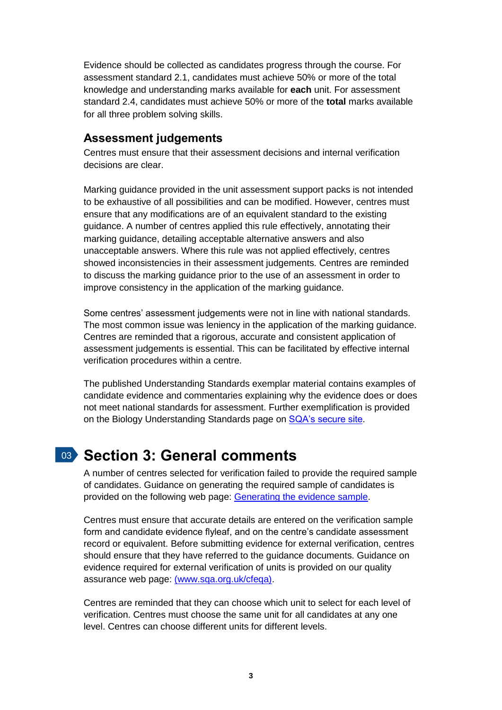Evidence should be collected as candidates progress through the course. For assessment standard 2.1, candidates must achieve 50% or more of the total knowledge and understanding marks available for **each** unit. For assessment standard 2.4, candidates must achieve 50% or more of the **total** marks available for all three problem solving skills.

### **Assessment judgements**

Centres must ensure that their assessment decisions and internal verification decisions are clear.

Marking guidance provided in the unit assessment support packs is not intended to be exhaustive of all possibilities and can be modified. However, centres must ensure that any modifications are of an equivalent standard to the existing guidance. A number of centres applied this rule effectively, annotating their marking guidance, detailing acceptable alternative answers and also unacceptable answers. Where this rule was not applied effectively, centres showed inconsistencies in their assessment judgements. Centres are reminded to discuss the marking guidance prior to the use of an assessment in order to improve consistency in the application of the marking guidance.

Some centres' assessment judgements were not in line with national standards. The most common issue was leniency in the application of the marking guidance. Centres are reminded that a rigorous, accurate and consistent application of assessment judgements is essential. This can be facilitated by effective internal verification procedures within a centre.

The published Understanding Standards exemplar material contains examples of candidate evidence and commentaries explaining why the evidence does or does not meet national standards for assessment. Further exemplification is provided on the Biology Understanding Standards page on [SQA's secure site.](https://www.sqa.org.uk/sqasecure)

## 03 **Section 3: General comments**

A number of centres selected for verification failed to provide the required sample of candidates. Guidance on generating the required sample of candidates is provided on the following web page: [Generating the evidence sample.](https://www.sqa.org.uk/sqa/files_ccc/Generating_the_evidence_sample.pdf)

Centres must ensure that accurate details are entered on the verification sample form and candidate evidence flyleaf, and on the centre's candidate assessment record or equivalent. Before submitting evidence for external verification, centres should ensure that they have referred to the guidance documents. Guidance on evidence required for external verification of units is provided on our quality assurance web page: [\(www.sqa.org.uk/cfeqa\).](http://www.sqa.org.uk/cfeqa)

Centres are reminded that they can choose which unit to select for each level of verification. Centres must choose the same unit for all candidates at any one level. Centres can choose different units for different levels.